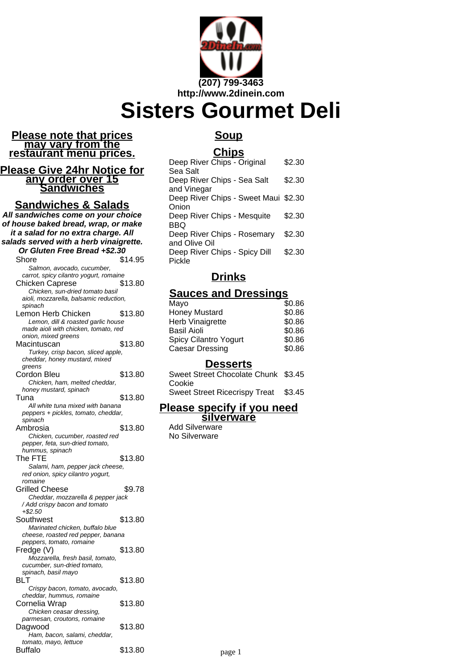

#### **Please note that prices may vary from the restaurant menu prices.**

#### **Please Give 24hr Notice for any order over 15 Sandwiches**

#### **Sandwiches & Salads**

**All sandwiches come on your choice of house baked bread, wrap, or make it a salad for no extra charge. All salads served with a herb vinaigrette. Or Gluten Free Bread +\$2.30** Shore \$14.95 Salmon, avocado, cucumber, carrot, spicy cilantro yogurt, romaine Chicken Caprese \$13.80 Chicken, sun-dried tomato basil aioli, mozzarella, balsamic reduction, spinach Lemon Herb Chicken \$13.80 Lemon, dill & roasted garlic house made aioli with chicken, tomato, red onion, mixed greens Macintuscan \$13.80 Turkey, crisp bacon, sliced apple, cheddar, honey mustard, mixed greens Cordon Bleu \$13.80 Chicken, ham, melted cheddar, honey mustard, spinach Tuna \$13.80 All white tuna mixed with banana peppers + pickles, tomato, cheddar, spinach Ambrosia  $$13.80$ Chicken, cucumber, roasted red pepper, feta, sun-dried tomato, hummus, spinach The FTE  $$13.80$ Salami, ham, pepper jack cheese, red onion, spicy cilantro yogurt, romaine Grilled Cheese \$9.78 Cheddar, mozzarella & pepper jack / Add crispy bacon and tomato +\$2.50 Southwest \$13.80 Marinated chicken, buffalo blue cheese, roasted red pepper, banana peppers, tomato, romaine Fredge (V) \$13.80 Mozzarella, fresh basil, tomato, cucumber, sun-dried tomato, spinach, basil mayo BLT \$13.80 Crispy bacon, tomato, avocado, cheddar, hummus, romaine Cornelia Wrap  $$13.80$ Chicken ceasar dressing, parmesan, croutons, romaine Dagwood \$13.80 Ham, bacon, salami, cheddar, tomato, mayo, lettuce

Buffalo \$13.80

## **Soup**

### **Chips**

| Deep River Chips - Original          | \$2.30 |
|--------------------------------------|--------|
| Sea Salt                             |        |
| Deep River Chips - Sea Salt          | \$2.30 |
| and Vinegar                          |        |
| Deep River Chips - Sweet Maui \$2.30 |        |
| Onion                                |        |
| Deep River Chips - Mesquite          | \$2.30 |
| BBQ                                  |        |
| Deep River Chips - Rosemary          | \$2.30 |
| and Olive Oil                        |        |
| Deep River Chips - Spicy Dill        | \$2.30 |
| Pickle                               |        |

# **Drinks**

## **Sauces and Dressings**

| Mayo                         | \$0.86 |
|------------------------------|--------|
| <b>Honey Mustard</b>         | \$0.86 |
| Herb Vinaigrette             | \$0.86 |
| <b>Basil Aioli</b>           | \$0.86 |
| <b>Spicy Cilantro Yogurt</b> | \$0.86 |
| <b>Caesar Dressing</b>       | \$0.86 |
|                              |        |

#### **Desserts**

Sweet Street Chocolate Chunk \$3.45 Cookie

Sweet Street Ricecrispy Treat \$3.45

#### **Please specify if you need silverware**

Add Silverware No Silverware